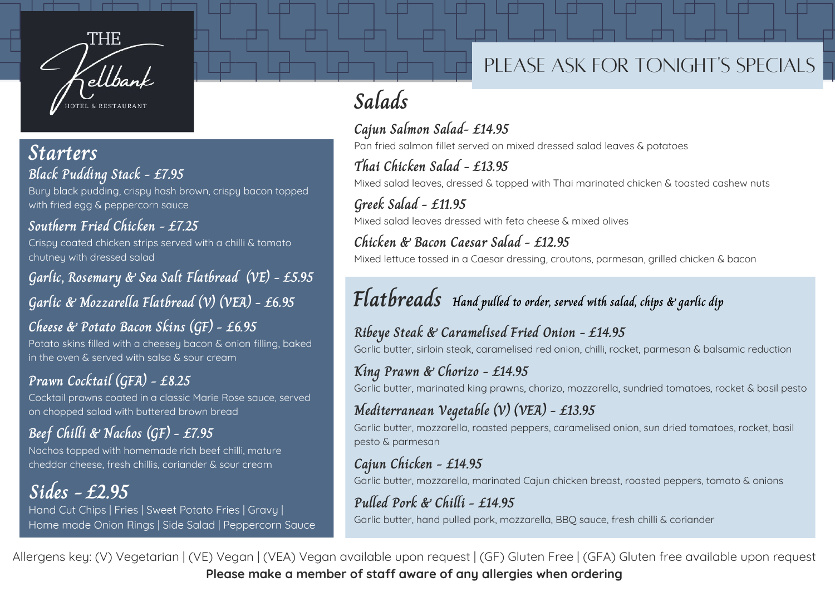

#### **Black Pudding Stack - £7.95 Starters**

Bury black pudding, crispy hash brown, crispy bacon topped with fried egg & peppercorn sauce

**Southern Fried Chicken -£7.25** Crispy coated chicken strips served with a chilli & tomato chutney with dressed salad

**Garlic, Rosemary & Sea Salt Flatbread (VE) - £5.95 Garlic & Mozzarella Flatbread (V) (VEA) - £6.95**

**Cheese & Potato Bacon Skins (GF) - £6.95** Potato skins filled with a cheesey bacon & onion filling, baked in the oven & served with salsa & sour cream

#### **Prawn Cocktail (GFA) - £8.25** Cocktail prawns coated in a classic Marie Rose sauce, served on chopped salad with buttered brown bread

**Beef Chilli & Nachos (GF) - £7.95** Nachos topped with homemade rich beef chilli, mature cheddar cheese, fresh chillis, coriander & sour cream

**Sides - £2.95** Hand Cut Chips | Fries | Sweet Potato Fries | Gravy | Home made Onion Rings | Side Salad | Peppercorn Sauce

## PLEASE ASK FOR TONIGHT'S SPECIALS

# **Salads**

**Cajun Salmon Salad- £14.95** Pan fried salmon fillet served on mixed dressed salad leaves & potatoes

**Thai Chicken Salad - £13.95** Mixed salad leaves, dressed & topped with Thai marinated chicken & toasted cashew nuts

**Greek Salad - £11.95** Mixed salad leaves dressed with feta cheese & mixed olives

**Chicken & Bacon Caesar Salad - £12.95** Mixed lettuce tossed in a Caesar dressing, croutons, parmesan, grilled chicken & bacon

# **Flatbreads Hand pulled to order, served with salad, chips & garlic dip**

**Ribeye Steak & Caramelised Fried Onion - £14.95** Garlic butter, sirloin steak, caramelised red onion, chilli, rocket, parmesan & balsamic reduction

#### **King Prawn & Chorizo - £14.95**

Garlic butter, marinated king prawns, chorizo, mozzarella, sundried tomatoes, rocket & basil pesto

#### **Mediterranean Vegetable (V) (VEA) - £13.95**

Garlic butter, mozzarella, roasted peppers, caramelised onion, sun dried tomatoes, rocket, basil pesto & parmesan

#### **Cajun Chicken - £14.95**

Garlic butter, mozzarella, marinated Cajun chicken breast, roasted peppers, tomato & onions

#### **Pulled Pork & Chilli - £14.95**

Garlic butter, hand pulled pork, mozzarella, BBQ sauce, fresh chilli & coriander

Allergens key: (V) Vegetarian | (VE) Vegan | (VEA) Vegan available upon request | (GF) Gluten Free | (GFA) Gluten free available upon request **Please make a member of staff aware of any allergies when ordering**